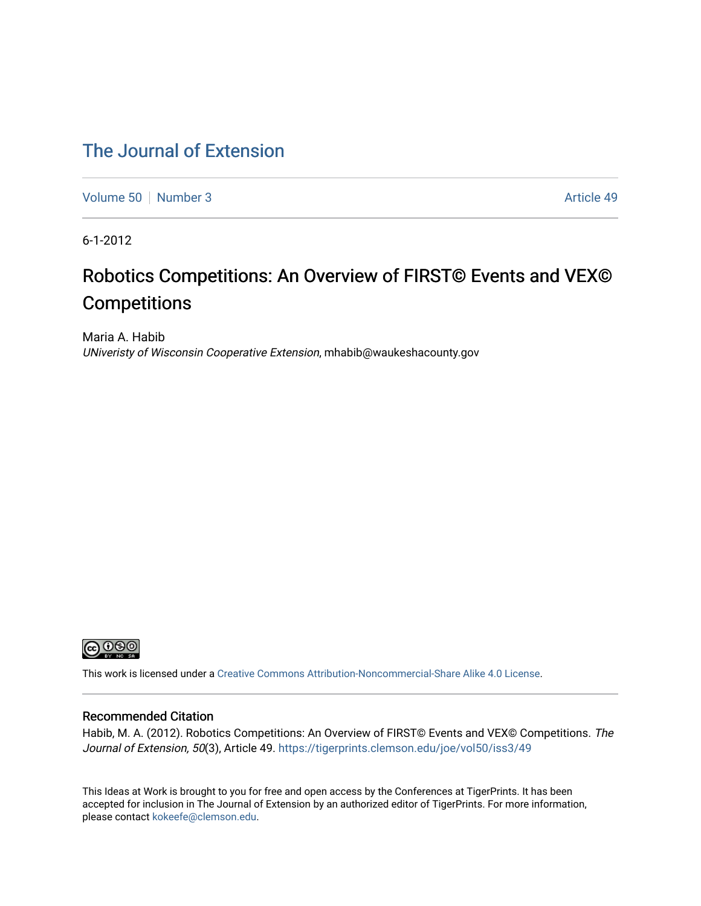## [The Journal of Extension](https://tigerprints.clemson.edu/joe)

[Volume 50](https://tigerprints.clemson.edu/joe/vol50) [Number 3](https://tigerprints.clemson.edu/joe/vol50/iss3) Article 49

6-1-2012

# Robotics Competitions: An Overview of FIRST© Events and VEX© **Competitions**

Maria A. Habib UNiveristy of Wisconsin Cooperative Extension, mhabib@waukeshacounty.gov



This work is licensed under a [Creative Commons Attribution-Noncommercial-Share Alike 4.0 License.](https://creativecommons.org/licenses/by-nc-sa/4.0/)

## Recommended Citation

Habib, M. A. (2012). Robotics Competitions: An Overview of FIRST© Events and VEX© Competitions. The Journal of Extension, 50(3), Article 49. https://tigerprints.clemson.edu/joe/vol50/iss3/49

This Ideas at Work is brought to you for free and open access by the Conferences at TigerPrints. It has been accepted for inclusion in The Journal of Extension by an authorized editor of TigerPrints. For more information, please contact [kokeefe@clemson.edu](mailto:kokeefe@clemson.edu).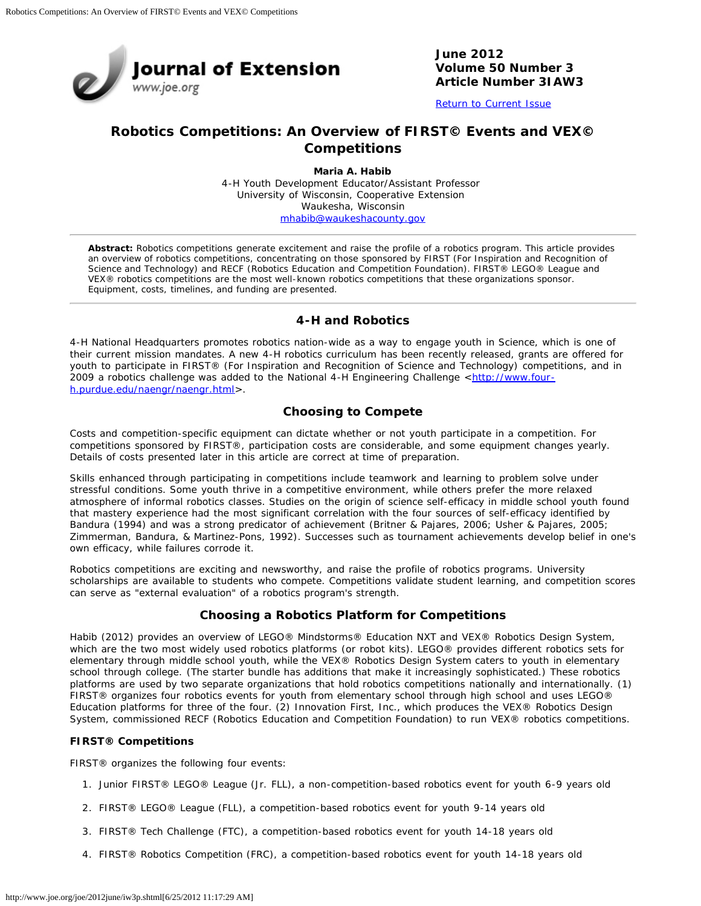

#### **June 2012 Volume 50 Number 3 Article Number 3IAW3**

[Return to Current Issue](http://www.joe.org/joe/2012june/)

## **Robotics Competitions: An Overview of FIRST© Events and VEX© Competitions**

**Maria A. Habib** 4-H Youth Development Educator/Assistant Professor University of Wisconsin, Cooperative Extension Waukesha, Wisconsin [mhabib@waukeshacounty.gov](mailto:mhabib@waukeshacounty.gov)

*Abstract: Robotics competitions generate excitement and raise the profile of a robotics program. This article provides an overview of robotics competitions, concentrating on those sponsored by FIRST (For Inspiration and Recognition of Science and Technology) and RECF (Robotics Education and Competition Foundation). FIRST® LEGO® League and VEX® robotics competitions are the most well-known robotics competitions that these organizations sponsor. Equipment, costs, timelines, and funding are presented.*

### **4-H and Robotics**

4-H National Headquarters promotes robotics nation-wide as a way to engage youth in Science, which is one of their current mission mandates. A new 4-H robotics curriculum has been recently released, grants are offered for youth to participate in FIRST® (For Inspiration and Recognition of Science and Technology) competitions, and in 2009 a robotics challenge was added to the National 4-H Engineering Challenge <[http://www.four](http://www.four-h.purdue.edu/naengr/naengr.html)[h.purdue.edu/naengr/naengr.html](http://www.four-h.purdue.edu/naengr/naengr.html)>.

## **Choosing to Compete**

Costs and competition-specific equipment can dictate whether or not youth participate in a competition. For competitions sponsored by FIRST®, participation costs are considerable, and some equipment changes yearly. Details of costs presented later in this article are correct at time of preparation.

Skills enhanced through participating in competitions include teamwork and learning to problem solve under stressful conditions. Some youth thrive in a competitive environment, while others prefer the more relaxed atmosphere of informal robotics classes. Studies on the origin of science self-efficacy in middle school youth found that mastery experience had the most significant correlation with the four sources of self-efficacy identified by Bandura (1994) and was a strong predicator of achievement (Britner & Pajares, 2006; Usher & Pajares, 2005; Zimmerman, Bandura, & Martinez-Pons, 1992). Successes such as tournament achievements develop belief in one's own efficacy, while failures corrode it.

Robotics competitions are exciting and newsworthy, and raise the profile of robotics programs. University scholarships are available to students who compete. Competitions validate student learning, and competition scores can serve as "external evaluation" of a robotics program's strength.

#### **Choosing a Robotics Platform for Competitions**

Habib (2012) provides an overview of LEGO® Mindstorms® Education NXT and VEX® Robotics Design System, which are the two most widely used robotics platforms (or robot kits). LEGO® provides different robotics sets for elementary through middle school youth, while the VEX® Robotics Design System caters to youth in elementary school through college. (The starter bundle has additions that make it increasingly sophisticated.) These robotics platforms are used by two separate organizations that hold robotics competitions nationally and internationally. (1) FIRST® organizes four robotics events for youth from elementary school through high school and uses LEGO® Education platforms for three of the four. (2) Innovation First, Inc., which produces the VEX® Robotics Design System, commissioned RECF (Robotics Education and Competition Foundation) to run VEX® robotics competitions.

#### **FIRST® Competitions**

FIRST® organizes the following four events:

- 1. Junior FIRST® LEGO® League (Jr. FLL), a non-competition-based robotics event for youth 6-9 years old
- 2. FIRST® LEGO® League (FLL), a competition-based robotics event for youth 9-14 years old
- 3. FIRST® Tech Challenge (FTC), a competition-based robotics event for youth 14-18 years old
- 4. FIRST® Robotics Competition (FRC), a competition-based robotics event for youth 14-18 years old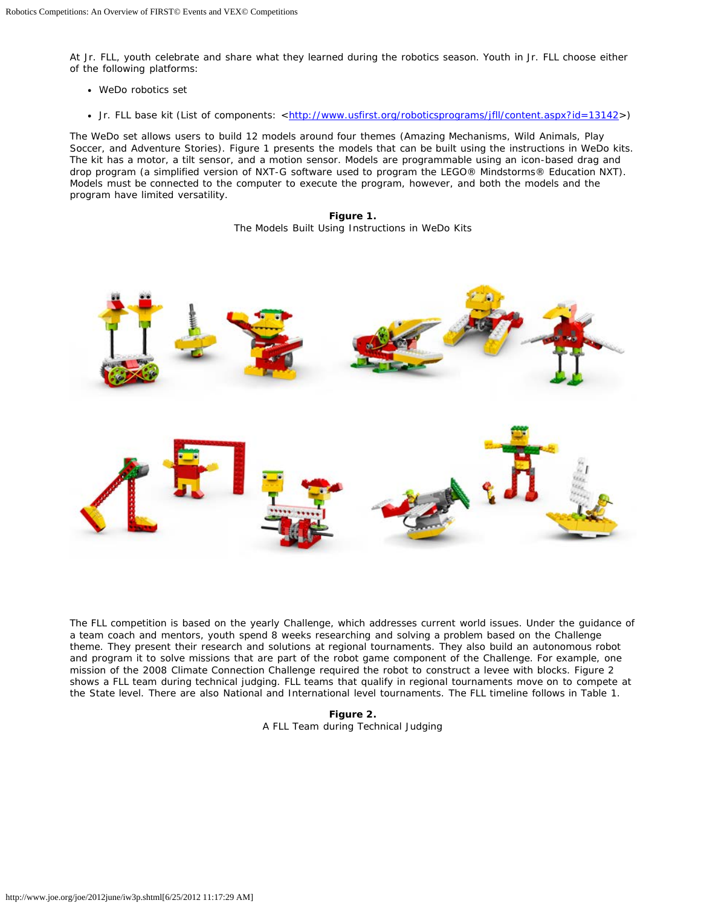At Jr. FLL, youth celebrate and share what they learned during the robotics season. Youth in Jr. FLL choose either of the following platforms:

- WeDo robotics set
- Jr. FLL base kit (List of components: [<http://www.usfirst.org/roboticsprograms/jfll/content.aspx?id=13142](http://www.usfirst.org/roboticsprograms/jfll/content.aspx?id=13142)>)

The WeDo set allows users to build 12 models around four themes (Amazing Mechanisms, Wild Animals, Play Soccer, and Adventure Stories). Figure 1 presents the models that can be built using the instructions in WeDo kits. The kit has a motor, a tilt sensor, and a motion sensor. Models are programmable using an icon-based drag and drop program (a simplified version of NXT-G software used to program the LEGO® Mindstorms® Education NXT). Models must be connected to the computer to execute the program, however, and both the models and the program have limited versatility.

> **Figure 1.** The Models Built Using Instructions in WeDo Kits



The FLL competition is based on the yearly Challenge, which addresses current world issues. Under the guidance of a team coach and mentors, youth spend 8 weeks researching and solving a problem based on the Challenge theme. They present their research and solutions at regional tournaments. They also build an autonomous robot and program it to solve missions that are part of the robot game component of the Challenge. For example, one mission of the 2008 Climate Connection Challenge required the robot to construct a levee with blocks. Figure 2 shows a FLL team during technical judging. FLL teams that qualify in regional tournaments move on to compete at the State level. There are also National and International level tournaments. The FLL timeline follows in Table 1.

> **Figure 2.** A FLL Team during Technical Judging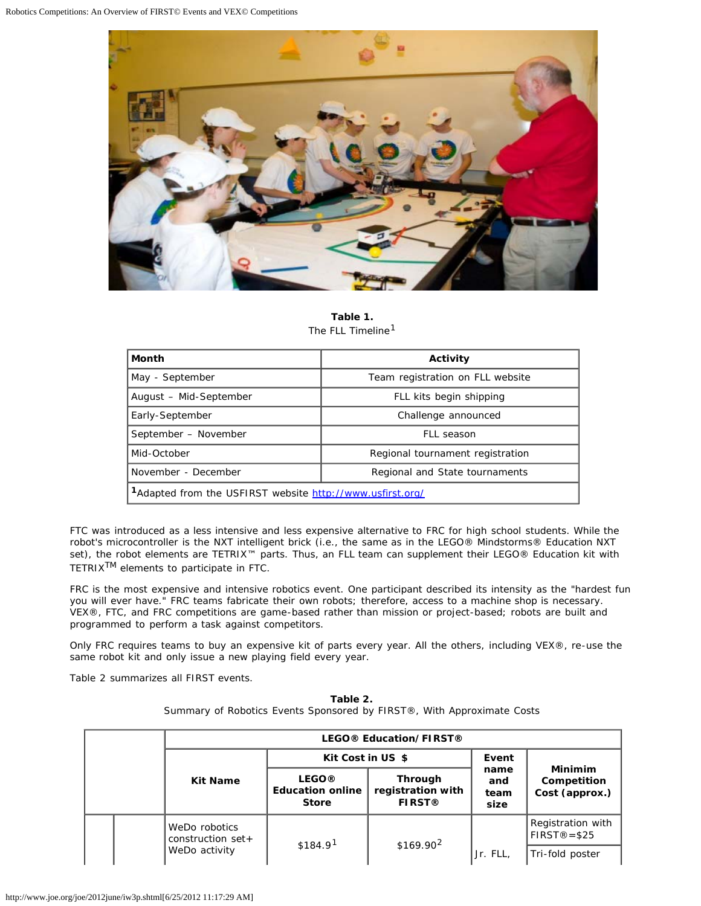

**Table 1.** The FLL Timeline<sup>1</sup>

| Month                                                                 | Activity                         |  |  |
|-----------------------------------------------------------------------|----------------------------------|--|--|
| May - September                                                       | Team registration on FLL website |  |  |
| August - Mid-September                                                | FLL kits begin shipping          |  |  |
| Early-September                                                       | Challenge announced              |  |  |
| September - November                                                  | FLL season                       |  |  |
| Mid-October                                                           | Regional tournament registration |  |  |
| November - December                                                   | Regional and State tournaments   |  |  |
| <sup>1</sup> Adapted from the USFIRST website http://www.usfirst.org/ |                                  |  |  |

FTC was introduced as a less intensive and less expensive alternative to FRC for high school students. While the robot's microcontroller is the NXT intelligent brick (i.e., the same as in the LEGO® Mindstorms® Education NXT set), the robot elements are *TETRIX™ parts. Thus, an FLL team can supplement their LEGO® Education kit with TETRIXTM* elements to participate in FTC.

FRC is the most expensive and intensive robotics event. One participant described its intensity as the "hardest fun you will ever have." FRC teams fabricate their own robots; therefore, access to a machine shop is necessary. VEX®, FTC, and FRC competitions are game-based rather than mission or project-based; robots are built and programmed to perform a task against competitors.

Only FRC requires teams to buy an expensive kit of parts every year. All the others, including VEX®, re-use the same robot kit and only issue a new playing field every year.

Table 2 summarizes all FIRST events.

| Table 2.                                                               |  |  |  |  |
|------------------------------------------------------------------------|--|--|--|--|
| Summary of Robotics Events Sponsored by FIRST®, With Approximate Costs |  |  |  |  |

|  |  | LEGO® Education/FIRST®                |                                                         |                                                      |                             |                                                 |
|--|--|---------------------------------------|---------------------------------------------------------|------------------------------------------------------|-----------------------------|-------------------------------------------------|
|  |  |                                       | Kit Cost in US \$                                       |                                                      | Event                       |                                                 |
|  |  | <b>Kit Name</b>                       | <b>LEGO®</b><br><b>Education online</b><br><b>Store</b> | <b>Through</b><br>registration with<br><b>FIRST®</b> | name<br>and<br>team<br>size | <b>Minimim</b><br>Competition<br>Cost (approx.) |
|  |  | WeDo robotics<br>construction $set +$ | \$184.9 <sup>1</sup>                                    | \$169.90 <sup>2</sup>                                |                             | Registration with<br>$FIRST@= $25$              |
|  |  | WeDo activity                         |                                                         |                                                      | Jr. FLL                     | Tri-fold poster                                 |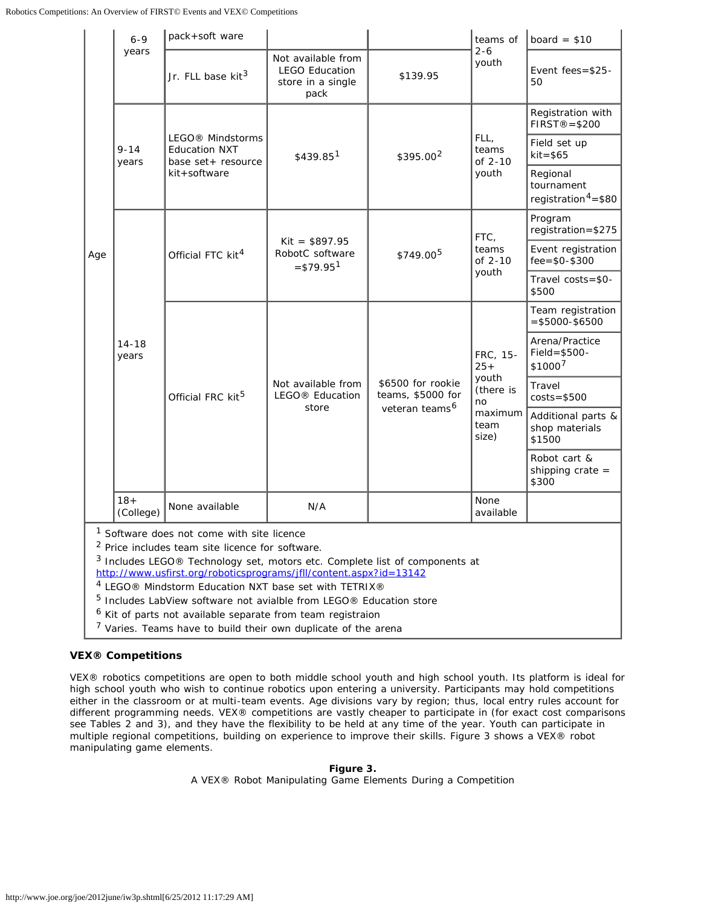|                                                                                                                                                                                                                                                                                                                                                                       | $6 - 9$<br>years   | pack+soft ware                                                                              |                                                                          |                                                                      | teams of                                                                   | board = $$10$                                             |
|-----------------------------------------------------------------------------------------------------------------------------------------------------------------------------------------------------------------------------------------------------------------------------------------------------------------------------------------------------------------------|--------------------|---------------------------------------------------------------------------------------------|--------------------------------------------------------------------------|----------------------------------------------------------------------|----------------------------------------------------------------------------|-----------------------------------------------------------|
| Age                                                                                                                                                                                                                                                                                                                                                                   |                    | Jr. FLL base kit <sup>3</sup>                                                               | Not available from<br><b>LEGO Education</b><br>store in a single<br>pack | \$139.95                                                             | $2 - 6$<br>youth                                                           | Event fees= $$25-$<br>50                                  |
|                                                                                                                                                                                                                                                                                                                                                                       | $9 - 14$<br>years  | LEGO <sup>®</sup> Mindstorms<br><b>Education NXT</b><br>base set + resource<br>kit+software | \$439.851                                                                | \$395.00 <sup>2</sup>                                                | FLL,<br>teams<br>of $2-10$<br>youth                                        | Registration with<br>$FIRST@= $200$                       |
|                                                                                                                                                                                                                                                                                                                                                                       |                    |                                                                                             |                                                                          |                                                                      |                                                                            | Field set up<br>$kit = $65$                               |
|                                                                                                                                                                                                                                                                                                                                                                       |                    |                                                                                             |                                                                          |                                                                      |                                                                            | Regional<br>tournament<br>registration <sup>4</sup> =\$80 |
|                                                                                                                                                                                                                                                                                                                                                                       | $14 - 18$<br>years | Official FTC kit <sup>4</sup>                                                               | $Kit = $897.95$<br>RobotC software<br>$= $79.951$                        | \$749.00 <sup>5</sup>                                                | FTC,<br>teams<br>of 2-10<br>youth                                          | Program<br>registration=\$275                             |
|                                                                                                                                                                                                                                                                                                                                                                       |                    |                                                                                             |                                                                          |                                                                      |                                                                            | Event registration<br>$fee = $0 - $300$                   |
|                                                                                                                                                                                                                                                                                                                                                                       |                    |                                                                                             |                                                                          |                                                                      |                                                                            | Travel costs=\$0-<br>\$500                                |
|                                                                                                                                                                                                                                                                                                                                                                       |                    | Official FRC kit <sup>5</sup>                                                               | Not available from<br>LEGO <sup>®</sup> Education<br>store               | \$6500 for rookie<br>teams, \$5000 for<br>veteran teams <sup>6</sup> | FRC, 15-<br>$25 +$<br>youth<br>(there is<br>no<br>maximum<br>team<br>size) | Team registration<br>$= $5000 - $6500$                    |
|                                                                                                                                                                                                                                                                                                                                                                       |                    |                                                                                             |                                                                          |                                                                      |                                                                            | Arena/Practice<br>$Field = $500 -$<br>$$1000^7$           |
|                                                                                                                                                                                                                                                                                                                                                                       |                    |                                                                                             |                                                                          |                                                                      |                                                                            | Travel<br>$costs = $500$                                  |
|                                                                                                                                                                                                                                                                                                                                                                       |                    |                                                                                             |                                                                          |                                                                      |                                                                            | Additional parts &<br>shop materials<br>\$1500            |
|                                                                                                                                                                                                                                                                                                                                                                       |                    |                                                                                             |                                                                          |                                                                      |                                                                            | Robot cart &<br>shipping crate $=$<br>\$300               |
|                                                                                                                                                                                                                                                                                                                                                                       | $18+$<br>(College) | None available                                                                              | N/A                                                                      |                                                                      | None<br>available                                                          |                                                           |
| <sup>1</sup> Software does not come with site licence<br><sup>2</sup> Price includes team site licence for software.<br><sup>3</sup> Includes LEGO® Technology set, motors etc. Complete list of components at<br>http://www.usfirst.org/roboticsprograms/jfll/content.aspx?id=13142<br>$4.1 - 0.00$ $1.01$ $1.01$ $1.01$ $1.01$ $1.01$<br>$\cdots$ $\cdots$ $\cdots$ |                    |                                                                                             |                                                                          |                                                                      |                                                                            |                                                           |

- 4 LEGO® Mindstorm Education NXT base set with TETRIX®
- 5 Includes LabView software not avialble from LEGO® Education store
- <sup>6</sup> Kit of parts not available separate from team registraion
- <sup>7</sup> Varies. Teams have to build their own duplicate of the arena

#### **VEX® Competitions**

VEX® robotics competitions are open to both middle school youth and high school youth. Its platform is ideal for high school youth who wish to continue robotics upon entering a university. Participants may hold competitions either in the classroom or at multi-team events. Age divisions vary by region; thus, local entry rules account for different programming needs. VEX® competitions are *vastly* cheaper to participate in (for exact cost comparisons see Tables 2 and 3), and they have the flexibility to be held at any time of the year. Youth can participate in multiple regional competitions, building on experience to improve their skills. Figure 3 shows a VEX® robot manipulating game elements.

#### **Figure 3.**

A VEX® Robot Manipulating Game Elements During a Competition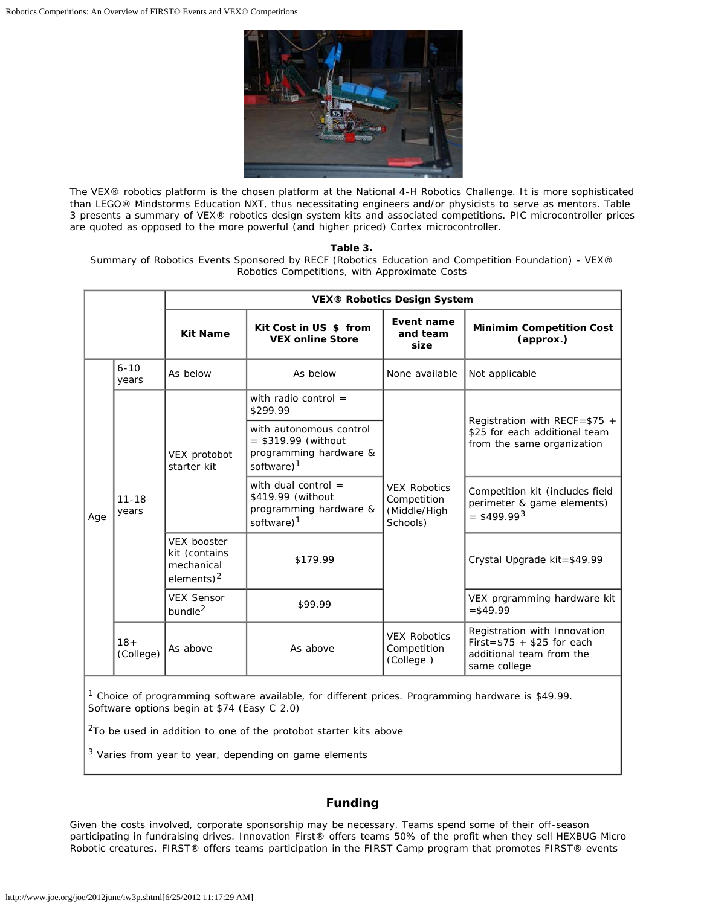

The VEX® robotics platform is the chosen platform at the National 4-H Robotics Challenge. It is more sophisticated than LEGO® Mindstorms Education NXT, thus necessitating engineers and/or physicists to serve as mentors. Table 3 presents a summary of VEX® robotics design system kits and associated competitions. PIC microcontroller prices are quoted as opposed to the more powerful (and higher priced) Cortex microcontroller.

#### **Table 3.**

Summary of Robotics Events Sponsored by RECF (Robotics Education and Competition Foundation) - VEX® Robotics Competitions, with Approximate Costs

|     |                    | <b>VEX® Robotics Design System</b>                                 |                                                                                                      |                                                                |                                                                                                          |
|-----|--------------------|--------------------------------------------------------------------|------------------------------------------------------------------------------------------------------|----------------------------------------------------------------|----------------------------------------------------------------------------------------------------------|
|     |                    | <b>Kit Name</b>                                                    | Kit Cost in US \$ from<br><b>VEX online Store</b>                                                    | Event name<br>and team<br>size                                 | <b>Minimim Competition Cost</b><br>(approx.)                                                             |
|     | $6 - 10$<br>years  | As below                                                           | As below                                                                                             | None available                                                 | Not applicable                                                                                           |
| Age | $11 - 18$<br>years | VEX protobot<br>starter kit                                        | with radio control $=$<br>\$299.99                                                                   |                                                                | Registration with RECF= $$75 +$<br>\$25 for each additional team<br>from the same organization           |
|     |                    |                                                                    | with autonomous control<br>$=$ \$319.99 (without<br>programming hardware &<br>software) <sup>1</sup> |                                                                |                                                                                                          |
|     |                    |                                                                    | with dual control $=$<br>\$419.99 (without<br>programming hardware &<br>software) <sup>1</sup>       | <b>VEX Robotics</b><br>Competition<br>(Middle/High<br>Schools) | Competition kit (includes field<br>perimeter & game elements)<br>$=$ \$499.99 <sup>3</sup>               |
|     |                    | <b>VEX booster</b><br>kit (contains<br>mechanical<br>elements) $2$ | \$179.99                                                                                             |                                                                | Crystal Upgrade kit=\$49.99                                                                              |
|     |                    | <b>VEX Sensor</b><br>bundle <sup>2</sup>                           | \$99.99                                                                                              |                                                                | VEX prgramming hardware kit<br>$= $49.99$                                                                |
|     | $18+$<br>(College) | As above                                                           | As above                                                                                             | <b>VEX Robotics</b><br>Competition<br>(College)                | Registration with Innovation<br>$First = $75 + $25$ for each<br>additional team from the<br>same college |

<sup>1</sup> Choice of programming software available, for different prices. Programming hardware is \$49.99. Software options begin at \$74 (Easy C 2.0)

<sup>2</sup>To be used in addition to one of the protobot starter kits above

3 Varies from year to year, depending on game elements

#### **Funding**

Given the costs involved, corporate sponsorship may be necessary. Teams spend some of their off-season participating in fundraising drives. Innovation First® offers teams 50% of the profit when they sell HEXBUG Micro Robotic creatures. FIRST® offers teams participation in the FIRST Camp program that promotes FIRST® events